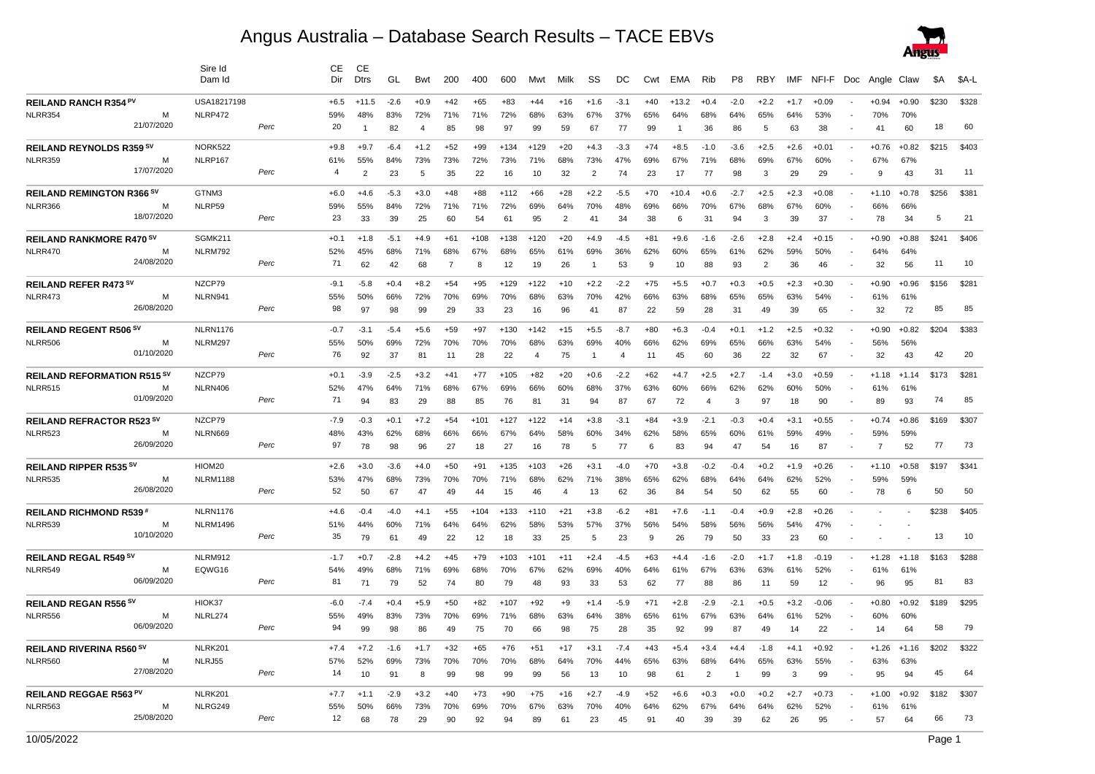## Angus Australia – Database Search Results – TACE EBVs



|                                    |            | Sire Id<br>Dam Id |      | CЕ<br>Dir | CE.<br><b>Dtrs</b> | GL     | Bwt    | 200   | 400    | 600    | Mwt            | Milk           | SS     | DC     | Cwt   | EMA     | Rib    | P <sub>8</sub> | RBY    | IMF    |         |                          | NFI-F Doc Angle Claw |         | <b>\$A</b> | \$A-L |
|------------------------------------|------------|-------------------|------|-----------|--------------------|--------|--------|-------|--------|--------|----------------|----------------|--------|--------|-------|---------|--------|----------------|--------|--------|---------|--------------------------|----------------------|---------|------------|-------|
| REILAND RANCH R354 PV              |            | USA18217198       |      | $+6.5$    | $+11.5$            | $-2.6$ | $+0.9$ | $+42$ | $+65$  | $+83$  | $+44$          | $+16$          | $+1.6$ | $-3.1$ | $+40$ | $+13.2$ | $+0.4$ | $-2.0$         | $+2.2$ | $+1.7$ | $+0.09$ |                          | $+0.94$              | $+0.90$ | \$230      | \$328 |
| NLRR354                            | м          | NLRP472           |      | 59%       | 48%                | 83%    | 72%    | 71%   | 71%    | 72%    | 68%            | 63%            | 67%    | 37%    | 65%   | 64%     | 68%    | 64%            | 65%    | 64%    | 53%     |                          | 70%                  | 70%     |            |       |
|                                    | 21/07/2020 |                   | Perc | 20        | $\mathbf{1}$       | 82     | 4      | 85    | 98     | 97     | 99             | 59             | 67     | 77     | 99    |         | 36     | 86             | 5      | 63     | 38      |                          | 41                   | 60      | 18         | 60    |
| <b>REILAND REYNOLDS R359 SV</b>    |            | NORK522           |      | $+9.8$    | $+9.7$             | $-6.4$ | $+1.2$ | $+52$ | $+99$  | $+134$ | $+129$         | $+20$          | $+4.3$ | $-3.3$ | $+74$ | $+8.5$  | $-1.0$ | $-3.6$         | $+2.5$ | $+2.6$ | $+0.01$ | $\blacksquare$           | $+0.76$              | $+0.82$ | \$215      | \$403 |
| NLRR359                            | м          | NLRP167           |      | 61%       | 55%                | 84%    | 73%    | 73%   | 72%    | 73%    | 71%            | 68%            | 73%    | 47%    | 69%   | 67%     | 71%    | 68%            | 69%    | 67%    | 60%     |                          | 67%                  | 67%     |            |       |
|                                    | 17/07/2020 |                   | Perc | 4         | $\overline{2}$     | 23     | 5      | 35    | 22     | 16     | 10             | 32             | 2      | 74     | 23    | 17      | 77     | 98             | 3      | 29     | 29      |                          | 9                    | 43      | 31         | 11    |
| <b>REILAND REMINGTON R366 SV</b>   |            | GTNM3             |      | $+6.0$    | $+4.6$             | $-5.3$ | $+3.0$ | $+48$ | $+88$  | $+112$ | $+66$          | $+28$          | $+2.2$ | $-5.5$ | $+70$ | $+10.4$ | $+0.6$ | $-2.7$         | $+2.5$ | $+2.3$ | $+0.08$ |                          | $+1.10$              | $+0.78$ | \$256      | \$381 |
| NLRR366                            | М          | NLRP59            |      | 59%       | 55%                | 84%    | 72%    | 71%   | 71%    | 72%    | 69%            | 64%            | 70%    | 48%    | 69%   | 66%     | 70%    | 67%            | 68%    | 67%    | 60%     |                          | 66%                  | 66%     |            |       |
|                                    | 18/07/2020 |                   | Perc | 23        | 33                 | 39     | 25     | 60    | 54     | 61     | 95             | $\overline{2}$ | 41     | 34     | 38    | 6       | 31     | 94             | 3      | 39     | 37      |                          | 78                   | 34      | 5          | 21    |
| REILAND RANKMORE R470 SV           |            | SGMK211           |      | $+0.1$    | $+1.8$             | -5.1   | $+4.9$ | $+61$ | $+108$ | $+138$ | $+120$         | $+20$          | +4.9   | -4.5   | $+81$ | +9.6    | -1.6   | $-2.6$         | $+2.8$ | $+2.4$ | $+0.15$ |                          | $+0.90$              | $+0.88$ | \$241      | \$406 |
| NLRR470                            |            | NLRM792           |      | 52%       | 45%                | 68%    | 71%    | 68%   | 67%    | 68%    | 65%            | 61%            | 69%    | 36%    | 62%   | 60%     | 65%    | 61%            | 62%    | 59%    | 50%     |                          | 64%                  | 64%     |            |       |
|                                    | 24/08/2020 |                   | Perc | 71        | 62                 | 42     | 68     | 7     | 8      | 12     | 19             | 26             | -1     | 53     | 9     | 10      | 88     | 93             | 2      | 36     | 46      |                          | 32                   | 56      | 11         | 10    |
| REILAND REFER R473 SV              |            | NZCP79            |      | $-9.1$    | $-5.8$             | $+0.4$ | $+8.2$ | $+54$ | $+95$  | $+129$ | $+122$         | $+10$          | $+2.2$ | $-2.2$ | $+75$ | $+5.5$  | $+0.7$ | $+0.3$         | $+0.5$ | $+2.3$ | $+0.30$ |                          | $+0.90$              | $+0.96$ | \$156      | \$281 |
| NLRR473                            | м          | NLRN941           |      | 55%       | 50%                | 66%    | 72%    | 70%   | 69%    | 70%    | 68%            | 63%            | 70%    | 42%    | 66%   | 63%     | 68%    | 65%            | 65%    | 63%    | 54%     |                          | 61%                  | 61%     |            |       |
|                                    | 26/08/2020 |                   | Perc | 98        | 97                 | 98     | 99     | 29    | 33     | 23     | 16             | 96             | 41     | 87     | 22    | 59      | 28     | 31             | 49     | 39     | 65      |                          | 32                   | 72      | 85         | 85    |
| <b>REILAND REGENT R506 SV</b>      |            | <b>NLRN1176</b>   |      | -0.7      | $-3.1$             | $-5.4$ | $+5.6$ | +59   | $+97$  | $+130$ | $+142$         | $+15$          | $+5.5$ | $-8.7$ | $+80$ | $+6.3$  | $-0.4$ | $+0.1$         | $+1.2$ | $+2.5$ | +0.32   |                          | $+0.90$              | $+0.82$ | \$204      | \$383 |
| NLRR506                            | м          | NLRM297           |      | 55%       | 50%                | 69%    | 72%    | 70%   | 70%    | 70%    | 68%            | 63%            | 69%    | 40%    | 66%   | 62%     | 69%    | 65%            | 66%    | 63%    | 54%     |                          | 56%                  | 56%     |            |       |
|                                    | 01/10/2020 |                   | Perc | 76        | 92                 | 37     | 81     | 11    | 28     | 22     | $\overline{4}$ | 75             | -1     | 4      | 11    | 45      | 60     | 36             | 22     | 32     | 67      |                          | 32                   | 43      | 42         | 20    |
| <b>REILAND REFORMATION R515 SV</b> |            | NZCP79            |      | $+0.1$    | $-3.9$             | $-2.5$ | $+3.2$ | $+41$ | $+77$  | $+105$ | $+82$          | $+20$          | $+0.6$ | $-2.2$ | $+62$ | $+4.7$  | $+2.5$ | $+2.7$         | $-1.4$ | $+3.0$ | $+0.59$ | $\overline{\phantom{a}}$ | $+1.18$              | $+1.14$ | \$173      | \$281 |
| NLRR515                            | М          | NLRN406           |      | 52%       | 47%                | 64%    | 71%    | 68%   | 67%    | 69%    | 66%            | 60%            | 68%    | 37%    | 63%   | 60%     | 66%    | 62%            | 62%    | 60%    | 50%     |                          | 61%                  | 61%     |            |       |
|                                    | 01/09/2020 |                   | Perc | 71        | 94                 | 83     | 29     | 88    | 85     | 76     | 81             | 31             | 94     | 87     | 67    | 72      | 4      | 3              | 97     | 18     | 90      |                          | 89                   | 93      | 74         | 85    |
| <b>REILAND REFRACTOR R523 SV</b>   |            | NZCP79            |      | $-7.9$    | $-0.3$             | $+0.1$ | $+7.2$ | $+54$ | $+101$ | $+127$ | $+122$         | $+14$          | $+3.8$ | $-3.1$ | $+84$ | $+3.9$  | $-2.1$ | $-0.3$         | $+0.4$ | $+3.1$ | $+0.55$ |                          | $+0.74$              | $+0.86$ | \$169      | \$307 |
| NLRR523                            | М          | NLRN669           |      | 48%       | 43%                | 62%    | 68%    | 66%   | 66%    | 67%    | 64%            | 58%            | 60%    | 34%    | 62%   | 58%     | 65%    | 60%            | 61%    | 59%    | 49%     |                          | 59%                  | 59%     |            |       |
|                                    | 26/09/2020 |                   | Perc | 97        | 78                 | 98     | 96     | 27    | 18     | 27     | 16             | 78             | 5      | 77     | 6     | 83      | 94     | 47             | 54     | 16     | 87      |                          | $\overline{7}$       | 52      | 77         | 73    |
| <b>REILAND RIPPER R535 SV</b>      |            | HIOM20            |      | $+2.6$    | $+3.0$             | $-3.6$ | $+4.0$ | $+50$ | $+91$  | $+135$ | $+103$         | $+26$          | $+3.1$ | $-4.0$ | $+70$ | $+3.8$  | $-0.2$ | $-0.4$         | $+0.2$ | $+1.9$ | $+0.26$ |                          | $+1.10$              | $+0.58$ | \$197      | \$341 |
| <b>NLRR535</b>                     | м          | <b>NLRM1188</b>   |      | 53%       | 47%                | 68%    | 73%    | 70%   | 70%    | 71%    | 68%            | 62%            | 71%    | 38%    | 65%   | 62%     | 68%    | 64%            | 64%    | 62%    | 52%     |                          | 59%                  | 59%     |            |       |
|                                    | 26/08/2020 |                   | Perc | 52        | 50                 | 67     | 47     | 49    | 44     | 15     | 46             | $\overline{4}$ | 13     | 62     | 36    | 84      | 54     | 50             | 62     | 55     | 60      |                          | 78                   | 6       | 50         | 50    |
| <b>REILAND RICHMOND R539#</b>      |            | <b>NLRN1176</b>   |      | $+4.6$    | $-0.4$             | -4.0   | $+4.1$ | $+55$ | $+104$ | $+133$ | $+110$         | $+21$          | $+3.8$ | $-6.2$ | $+81$ | $+7.6$  | $-1.1$ | $-0.4$         | $+0.9$ | $+2.8$ | +0.26   |                          |                      |         | \$238      | \$405 |
| NLRR539                            | м          | <b>NLRM1496</b>   |      | 51%       | 44%                | 60%    | 71%    | 64%   | 64%    | 62%    | 58%            | 53%            | 57%    | 37%    | 56%   | 54%     | 58%    | 56%            | 56%    | 54%    | 47%     |                          |                      |         |            |       |
|                                    | 10/10/2020 |                   | Perc | 35        | 79                 | 61     | 49     | 22    | 12     | 18     | 33             | 25             | 5      | 23     | 9     | 26      | 79     | 50             | 33     | 23     | 60      |                          |                      |         | 13         | 10    |
| REILAND REGAL R549 SV              |            | NLRM912           |      | $-1.7$    | $+0.7$             | $-2.8$ | $+4.2$ | $+45$ | $+79$  | $+103$ | $+101$         | $+11$          | $+2.4$ | $-4.5$ | $+63$ | $+4.4$  | $-1.6$ | $-2.0$         | $+1.7$ | $+1.8$ | $-0.19$ |                          | $+1.28$              | $+1.18$ | \$163      | \$288 |
| NLRR549                            | м          | EQWG16            |      | 54%       | 49%                | 68%    | 71%    | 69%   | 68%    | 70%    | 67%            | 62%            | 69%    | 40%    | 64%   | 61%     | 67%    | 63%            | 63%    | 61%    | 52%     |                          | 61%                  | 61%     |            |       |
|                                    | 06/09/2020 |                   | Perc | 81        | 71                 | 79     | 52     | 74    | 80     | 79     | 48             | 93             | 33     | 53     | 62    | 77      | 88     | 86             | 11     | 59     | 12      |                          | 96                   | 95      | 81         | 83    |
| <b>REILAND REGAN R556 SV</b>       |            | HIOK37            |      | $-6.0$    | $-7.4$             | $+0.4$ | $+5.9$ | $+50$ | $+82$  | $+107$ | $+92$          | $+9$           | $+1.4$ | $-5.9$ | $+71$ | $+2.8$  | $-2.9$ | $-2.1$         | $+0.5$ | $+3.2$ | $-0.06$ |                          | $+0.80$              | $+0.92$ | \$189      | \$295 |
| NLRR556                            | м          | NLRL274           |      | 55%       | 49%                | 83%    | 73%    | 70%   | 69%    | 71%    | 68%            | 63%            | 64%    | 38%    | 65%   | 61%     | 67%    | 63%            | 64%    | 61%    | 52%     |                          | 60%                  | 60%     |            |       |
|                                    | 06/09/2020 |                   | Perc | 94        | 99                 | 98     | 86     | 49    | 75     | 70     | 66             | 98             | 75     | 28     | 35    | 92      | 99     | 87             | 49     | 14     | 22      |                          | 14                   | 64      | 58         | 79    |
| <b>REILAND RIVERINA R560 SV</b>    |            | NLRK201           |      | $+7.4$    | $+7.2$             | $-1.6$ | $+1.7$ | $+32$ | $+65$  | $+76$  | $+51$          | $+17$          | $+3.1$ | $-7.4$ | $+43$ | +5.4    | $+3.4$ | $+4.4$         | $-1.8$ | $+4.1$ | $+0.92$ |                          | $+1.26$              | $+1.16$ | \$202      | \$322 |
| NLRR560                            | м          | NLRJ55            |      | 57%       | 52%                | 69%    | 73%    | 70%   | 70%    | 70%    | 68%            | 64%            | 70%    | 44%    | 65%   | 63%     | 68%    | 64%            | 65%    | 63%    | 55%     |                          | 63%                  | 63%     |            |       |
|                                    | 27/08/2020 |                   | Perc | 14        | 10                 | 91     | 8      | 99    | 98     | 99     | 99             | 56             | 13     | 10     | 98    | 61      | 2      | $\mathbf 1$    | 99     | 3      | 99      |                          | 95                   | 94      | 45         | 64    |
| REILAND REGGAE R563 PV             |            | NLRK201           |      | $+7.7$    | $+1.1$             | $-2.9$ | $+3.2$ | $+40$ | $+73$  | $+90$  | $+75$          | $+16$          | $+2.7$ | $-4.9$ | $+52$ | +6.6    | +0.3   | $+0.0$         | $+0.2$ | $+2.7$ | +0.73   |                          | $+1.00$              | $+0.92$ | \$182      | \$307 |
| NLRR563                            | М          | NLRG249           |      | 55%       | 50%                | 66%    | 73%    | 70%   | 69%    | 70%    | 67%            | 63%            | 70%    | 40%    | 64%   | 62%     | 67%    | 64%            | 64%    | 62%    | 52%     |                          | 61%                  | 61%     |            |       |
|                                    | 25/08/2020 |                   | Perc | 12        | 68                 | 78     | 29     | 90    | 92     | 94     | 89             | 61             | 23     | 45     | 91    | 40      | 39     | 39             | 62     | 26     | 95      |                          | 57                   | 64      | 66         | 73    |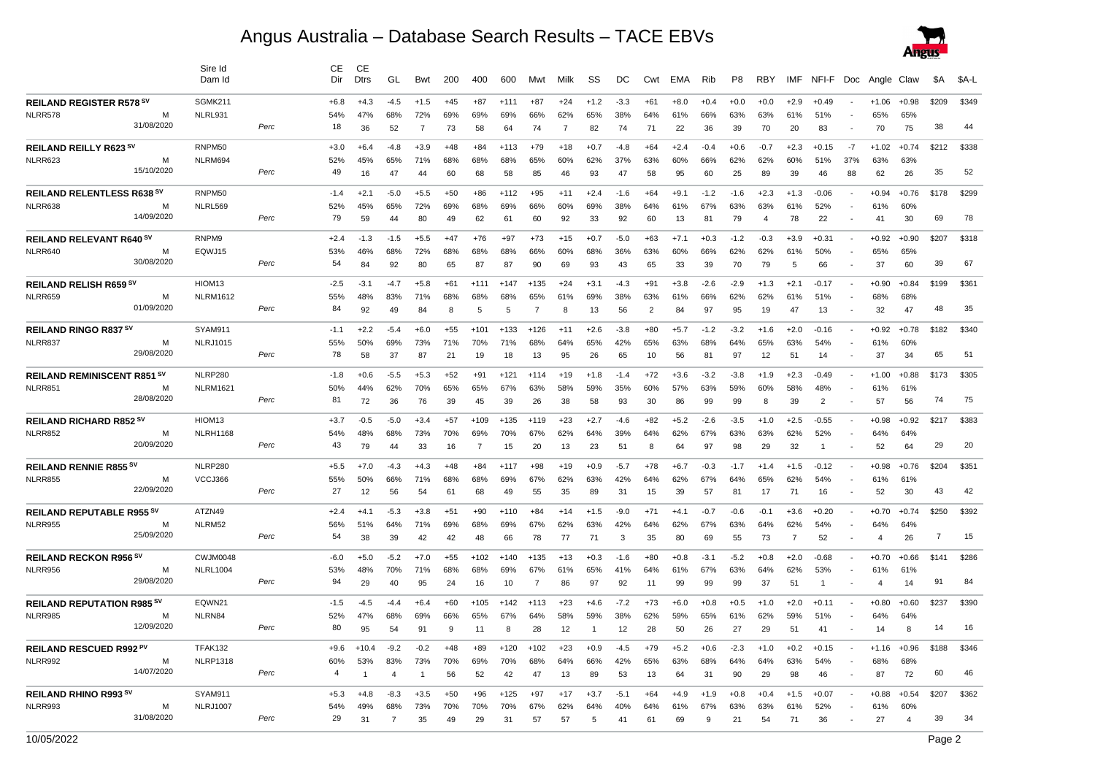## Angus Australia – Database Search Results – TACE EBVs



|                                    |            | Sire Id<br>Dam Id |      | CЕ<br>Dir | CЕ<br><b>Dtrs</b> | GL             | Bwt            | 200   | 400            | 600    | Mwt            | Milk  | SS             | DC     | Cwt   | EMA    | Rib    | P <sub>8</sub> | <b>RBY</b>     | IMF            | NFI-F          |      | Doc Angle Claw |         | \$A            | \$A-L |
|------------------------------------|------------|-------------------|------|-----------|-------------------|----------------|----------------|-------|----------------|--------|----------------|-------|----------------|--------|-------|--------|--------|----------------|----------------|----------------|----------------|------|----------------|---------|----------------|-------|
| <b>REILAND REGISTER R578 SV</b>    |            | SGMK211           |      | +6.8      | +4.3              | -4.5           | $+1.5$         | +45   | $+87$          | $+111$ | $+87$          | $+24$ | $+1.2$         | $-3.3$ | $+61$ | $+8.0$ | $+0.4$ | $+0.0$         | $+0.0$         | $+2.9$         | +0.49          |      | $+1.06$        | $+0.98$ | \$209          | \$349 |
| NLRR578                            | м          | NLRL931           |      | 54%       | 47%               | 68%            | 72%            | 69%   | 69%            | 69%    | 66%            | 62%   | 65%            | 38%    | 64%   | 61%    | 66%    | 63%            | 63%            | 61%            | 51%            |      | 65%            | 65%     |                |       |
|                                    | 31/08/2020 |                   | Perc | 18        | 36                | 52             | $\overline{7}$ | 73    | 58             | 64     | 74             | -7    | 82             | 74     | 71    | 22     | 36     | 39             | 70             | 20             | 83             |      | 70             | 75      | 38             | 44    |
| REILAND REILLY R623 SV             |            | RNPM50            |      | $+3.0$    | $+6.4$            | $-4.8$         | $+3.9$         | $+48$ | $+84$          | $+113$ | $+79$          | $+18$ | $+0.7$         | $-4.8$ | $+64$ | $+2.4$ | $-0.4$ | $+0.6$         | $-0.7$         | $+2.3$         | $+0.15$        | $-7$ | $+1.02$        | $+0.74$ | \$212          | \$338 |
| NLRR623                            | м          | NLRM694           |      | 52%       | 45%               | 65%            | 71%            | 68%   | 68%            | 68%    | 65%            | 60%   | 62%            | 37%    | 63%   | 60%    | 66%    | 62%            | 62%            | 60%            | 51%            | 37%  | 63%            | 63%     |                |       |
|                                    | 15/10/2020 |                   | Perc | 49        | 16                | 47             | 44             | 60    | 68             | 58     | 85             | 46    | 93             | 47     | 58    | 95     | 60     | 25             | 89             | 39             | 46             | 88   | 62             | 26      | 35             | 52    |
| <b>REILAND RELENTLESS R638 SV</b>  |            | RNPM50            |      | $-1.4$    | $+2.1$            | $-5.0$         | $+5.5$         | +50   | $+86$          | +112   | $+95$          | $+11$ | $+2.4$         | $-1.6$ | $+64$ | $+9.1$ | $-1.2$ | $-1.6$         | $+2.3$         | $+1.3$         | $-0.06$        |      | $+0.94$        | $+0.76$ | \$178          | \$299 |
| NLRR638                            | М          | NLRL569           |      | 52%       | 45%               | 65%            | 72%            | 69%   | 68%            | 69%    | 66%            | 60%   | 69%            | 38%    | 64%   | 61%    | 67%    | 63%            | 63%            | 61%            | 52%            |      | 61%            | 60%     |                |       |
|                                    | 14/09/2020 |                   | Perc | 79        | 59                | 44             | 80             | 49    | 62             | 61     | 60             | 92    | 33             | 92     | 60    | 13     | 81     | 79             | $\overline{4}$ | 78             | 22             |      | 41             | 30      | 69             | 78    |
| REILAND RELEVANT R640 SV           |            | RNPM9             |      | $+2.4$    | $-1.3$            | $-1.5$         | $+5.5$         | $+47$ | $+76$          | $+97$  | $+73$          | $+15$ | $+0.7$         | $-5.0$ | $+63$ | $+7.1$ | $+0.3$ | $-1.2$         | $-0.3$         | $+3.9$         | $+0.31$        |      | $+0.92$        | $+0.90$ | \$207          | \$318 |
| NLRR640                            | м          | EQWJ15            |      | 53%       | 46%               | 68%            | 72%            | 68%   | 68%            | 68%    | 66%            | 60%   | 68%            | 36%    | 63%   | 60%    | 66%    | 62%            | 62%            | 61%            | 50%            |      | 65%            | 65%     |                |       |
|                                    | 30/08/2020 |                   | Perc | 54        | 84                | 92             | 80             | 65    | 87             | 87     | 90             | 69    | 93             | 43     | 65    | 33     | 39     | 70             | 79             | 5              | 66             |      | 37             | 60      | 39             | 67    |
| REILAND RELISH R659 SV             |            | HIOM13            |      | $-2.5$    | $-3.1$            | $-4.7$         | $+5.8$         | +61   | $+111$         | $+147$ | $+135$         | $+24$ | $+3.1$         | $-4.3$ | $+91$ | $+3.8$ | $-2.6$ | $-2.9$         | $+1.3$         | $+2.1$         | $-0.17$        |      | $+0.90$        | $+0.84$ | \$199          | \$361 |
| NLRR659                            | м          | <b>NLRM1612</b>   |      | 55%       | 48%               | 83%            | 71%            | 68%   | 68%            | 68%    | 65%            | 61%   | 69%            | 38%    | 63%   | 61%    | 66%    | 62%            | 62%            | 61%            | 51%            |      | 68%            | 68%     |                |       |
|                                    | 01/09/2020 |                   | Perc | 84        | 92                | 49             | 84             | 8     | 5              | 5      | -7             | 8     | 13             | 56     | 2     | 84     | 97     | 95             | 19             | 47             | 13             |      | 32             | 47      | 48             | 35    |
| <b>REILAND RINGO R837 SV</b>       |            | SYAM911           |      | $-1.1$    | $+2.2$            | -5.4           | $+6.0$         | +55   | $+101$         | $+133$ | $+126$         | $+11$ | $+2.6$         | $-3.8$ | $+80$ | +5.7   | $-1.2$ | $-3.2$         | $+1.6$         | $+2.0$         | $-0.16$        |      | $+0.92$        | $+0.78$ | \$182          | \$340 |
| NLRR837                            | М          | <b>NLRJ1015</b>   |      | 55%       | 50%               | 69%            | 73%            | 71%   | 70%            | 71%    | 68%            | 64%   | 65%            | 42%    | 65%   | 63%    | 68%    | 64%            | 65%            | 63%            | 54%            |      | 61%            | 60%     |                |       |
|                                    | 29/08/2020 |                   | Perc | 78        | 58                | 37             | 87             | 21    | 19             | 18     | 13             | 95    | 26             | 65     | 10    | 56     | 81     | 97             | 12             | 51             | 14             |      | 37             | 34      | 65             | 51    |
| <b>REILAND REMINISCENT R851 SV</b> |            | NLRP280           |      | $-1.8$    | $+0.6$            | $-5.5$         | $+5.3$         | $+52$ | $+91$          | $+121$ | $+114$         | $+19$ | $+1.8$         | $-1.4$ | $+72$ | $+3.6$ | $-3.2$ | $-3.8$         | $+1.9$         | $+2.3$         | $-0.49$        |      | $+1.00$        | $+0.88$ | \$173          | \$305 |
| <b>NLRR851</b>                     | м          | <b>NLRM1621</b>   |      | 50%       | 44%               | 62%            | 70%            | 65%   | 65%            | 67%    | 63%            | 58%   | 59%            | 35%    | 60%   | 57%    | 63%    | 59%            | 60%            | 58%            | 48%            |      | 61%            | 61%     |                |       |
|                                    | 28/08/2020 |                   | Perc | 81        | 72                | 36             | 76             | 39    | 45             | 39     | 26             | 38    | 58             | 93     | 30    | 86     | 99     | 99             | 8              | 39             | $\overline{2}$ |      | 57             | 56      | 74             | 75    |
| REILAND RICHARD R852 SV            |            | HIOM13            |      | $+3.7$    | $-0.5$            | $-5.0$         | $+3.4$         | $+57$ | $+109$         | $+135$ | $+119$         | $+23$ | $+2.7$         | $-4.6$ | $+82$ | +5.2   | $-2.6$ | $-3.5$         | $+1.0$         | $+2.5$         | $-0.55$        |      | $+0.98$        | $+0.92$ | \$217          | \$383 |
| <b>NLRR852</b>                     | м          | <b>NLRH1168</b>   |      | 54%       | 48%               | 68%            | 73%            | 70%   | 69%            | 70%    | 67%            | 62%   | 64%            | 39%    | 64%   | 62%    | 67%    | 63%            | 63%            | 62%            | 52%            |      | 64%            | 64%     |                |       |
|                                    | 20/09/2020 |                   | Perc | 43        | 79                | 44             | 33             | 16    | $\overline{7}$ | 15     | 20             | 13    | 23             | 51     | 8     | 64     | 97     | 98             | 29             | 32             | 1              |      | 52             | 64      | 29             | 20    |
| <b>REILAND RENNIE R855 SV</b>      |            | <b>NLRP280</b>    |      | $+5.5$    | $+7.0$            | $-4.3$         | $+4.3$         | $+48$ | $+84$          | $+117$ | $+98$          | $+19$ | $+0.9$         | $-5.7$ | $+78$ | $+6.7$ | $-0.3$ | $-1.7$         | $+1.4$         | $+1.5$         | $-0.12$        |      | $+0.98$        | $+0.76$ | \$204          | \$351 |
| <b>NLRR855</b>                     | м          | VCCJ366           |      | 55%       | 50%               | 66%            | 71%            | 68%   | 68%            | 69%    | 67%            | 62%   | 63%            | 42%    | 64%   | 62%    | 67%    | 64%            | 65%            | 62%            | 54%            |      | 61%            | 61%     |                |       |
|                                    | 22/09/2020 |                   | Perc | 27        | 12                | 56             | 54             | 61    | 68             | 49     | 55             | 35    | 89             | 31     | 15    | 39     | 57     | 81             | 17             | 71             | 16             |      | 52             | 30      | 43             | 42    |
| <b>REILAND REPUTABLE R955 SV</b>   |            | ATZN49            |      | $+2.4$    | $+4.1$            | -5.3           | $+3.8$         | +51   | $+90$          | +110   | $+84$          | $+14$ | $+1.5$         | $-9.0$ | $+71$ | $+4.1$ | $-0.7$ | -0.6           | -0.1           | $+3.6$         | +0.20          |      | +0.70          | $+0.74$ | \$250          | \$392 |
| <b>NLRR955</b>                     | м          | NLRM52            |      | 56%       | 51%               | 64%            | 71%            | 69%   | 68%            | 69%    | 67%            | 62%   | 63%            | 42%    | 64%   | 62%    | 67%    | 63%            | 64%            | 62%            | 54%            |      | 64%            | 64%     |                |       |
|                                    | 25/09/2020 |                   | Perc | 54        | 38                | 39             | 42             | 42    | 48             | 66     | 78             | 77    | 71             | 3      | 35    | 80     | 69     | 55             | 73             | $\overline{7}$ | 52             |      | $\overline{4}$ | 26      | $\overline{7}$ | 15    |
| <b>REILAND RECKON R956 SV</b>      |            | <b>CWJM0048</b>   |      | $-6.0$    | $+5.0$            | $-5.2$         | $+7.0$         | $+55$ | $+102$         | $+140$ | $+135$         | $+13$ | $+0.3$         | $-1.6$ | $+80$ | $+0.8$ | $-3.1$ | -5.2           | $+0.8$         | $+2.0$         | $-0.68$        |      | $+0.70$        | $+0.66$ | \$141          | \$286 |
| NLRR956                            | м          | <b>NLRL1004</b>   |      | 53%       | 48%               | 70%            | 71%            | 68%   | 68%            | 69%    | 67%            | 61%   | 65%            | 41%    | 64%   | 61%    | 67%    | 63%            | 64%            | 62%            | 53%            |      | 61%            | 61%     |                |       |
|                                    | 29/08/2020 |                   | Perc | 94        | 29                | 40             | 95             | 24    | 16             | 10     | $\overline{7}$ | 86    | 97             | 92     | 11    | 99     | 99     | 99             | 37             | 51             | $\mathbf{1}$   |      | $\overline{4}$ | 14      | 91             | 84    |
| <b>REILAND REPUTATION R985 SV</b>  |            | EQWN21            |      | $-1.5$    | -4.5              | $-4.4$         | $+6.4$         | +60   | $+105$         | $+142$ | $+113$         | $+23$ | $+4.6$         | $-7.2$ | $+73$ | +6.0   | $+0.8$ | $+0.5$         | $+1.0$         | $+2.0$         | $+0.11$        |      | $+0.80$        | $+0.60$ | \$237          | \$390 |
| NLRR985                            | М          | NLRN84            |      | 52%       | 47%               | 68%            | 69%            | 66%   | 65%            | 67%    | 64%            | 58%   | 59%            | 38%    | 62%   | 59%    | 65%    | 61%            | 62%            | 59%            | 51%            |      | 64%            | 64%     |                |       |
|                                    | 12/09/2020 |                   | Perc | 80        | 95                | 54             | 91             | 9     | 11             | 8      | 28             | 12    | $\overline{1}$ | 12     | 28    | 50     | 26     | 27             | 29             | 51             | 41             |      | 14             | 8       | 14             | 16    |
| REILAND RESCUED R992 PV            |            | TFAK132           |      | $+9.6$    | $+10.4$           | $-9.2$         | -0.2           | $+48$ | $+89$          | $+120$ | $+102$         | $+23$ | $+0.9$         | $-4.5$ | $+79$ | $+5.2$ | $+0.6$ | $-2.3$         | $+1.0$         | $+0.2$         | $+0.15$        |      | $+1.16$        | $+0.96$ | \$188          | \$346 |
| <b>NLRR992</b>                     | м          | <b>NLRP1318</b>   |      | 60%       | 53%               | 83%            | 73%            | 70%   | 69%            | 70%    | 68%            | 64%   | 66%            | 42%    | 65%   | 63%    | 68%    | 64%            | 64%            | 63%            | 54%            |      | 68%            | 68%     |                |       |
|                                    | 14/07/2020 |                   | Perc | 4         | -1                | 4              | 1              | 56    | 52             | 42     | 47             | 13    | 89             | 53     | 13    | 64     | 31     | 90             | 29             | 98             | 46             |      | 87             | 72      | 60             | 46    |
| <b>REILAND RHINO R993 SV</b>       |            | SYAM911           |      | $+5.3$    | +4.8              | $-8.3$         | $+3.5$         | +50   | $+96$          | +125   | $+97$          | $+17$ | $+3.7$         | $-5.1$ | $+64$ | +4.9   | $+1.9$ | $+0.8$         | $+0.4$         | $+1.5$         | $+0.07$        |      | $+0.88$        | $+0.54$ | \$207          | \$362 |
| NLRR993                            | м          | <b>NLRJ1007</b>   |      | 54%       | 49%               | 68%            | 73%            | 70%   | 70%            | 70%    | 67%            | 62%   | 64%            | 40%    | 64%   | 61%    | 67%    | 63%            | 63%            | 61%            | 52%            |      | 61%            | 60%     |                |       |
|                                    | 31/08/2020 |                   | Perc | 29        | 31                | $\overline{7}$ | 35             | 49    | 29             | 31     | 57             | 57    |                | 41     | 61    | 69     | 9      | 21             | 54             | 71             | 36             |      | 27             | 4       | 39             | 34    |